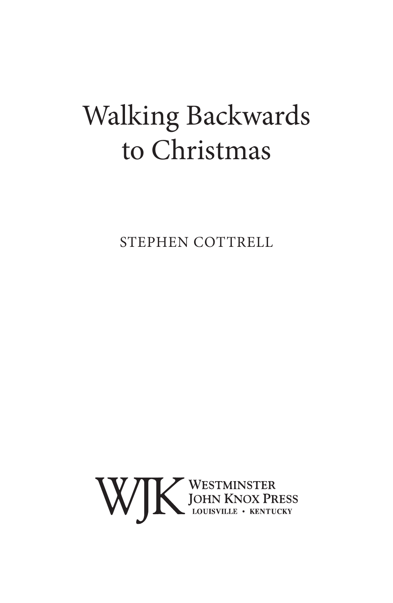# Walking Backwards to Christmas

STEPHEN COTTRELL

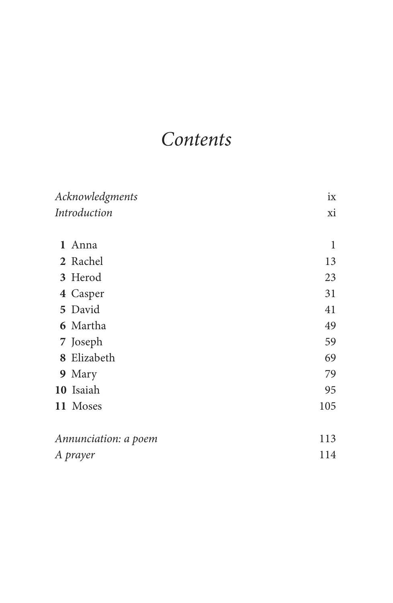# *Contents*

| Acknowledgments      |             | ix  |
|----------------------|-------------|-----|
| Introduction         |             | хi  |
|                      | 1 Anna      | 1   |
|                      | 2 Rachel    | 13  |
|                      | 3 Herod     | 23  |
|                      | 4 Casper    | 31  |
|                      | 5 David     | 41  |
|                      | 6 Martha    | 49  |
|                      | 7 Joseph    | 59  |
|                      | 8 Elizabeth | 69  |
|                      | 9 Mary      | 79  |
|                      | 10 Isaiah   | 95  |
|                      | 11 Moses    | 105 |
| Annunciation: a poem |             | 113 |
| A prayer             |             | 114 |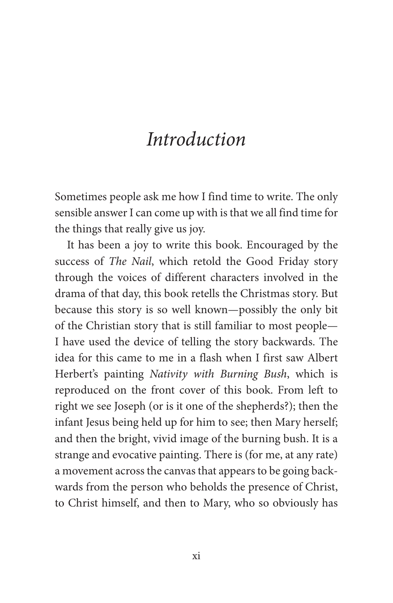Sometimes people ask me how I find time to write. The only sensible answer I can come up with is that we all find time for the things that really give us joy.

It has been a joy to write this book. Encouraged by the success of *The Nail*, which retold the Good Friday story through the voices of different characters involved in the drama of that day, this book retells the Christmas story. But because this story is so well known—possibly the only bit of the Christian story that is still familiar to most people— I have used the device of telling the story backwards. The idea for this came to me in a flash when I first saw Albert Herbert's painting *Nativity with Burning Bush*, which is reproduced on the front cover of this book. From left to right we see Joseph (or is it one of the shepherds?); then the infant Jesus being held up for him to see; then Mary herself; and then the bright, vivid image of the burning bush. It is a strange and evocative painting. There is (for me, at any rate) a movement across the canvas that appears to be going backwards from the person who beholds the presence of Christ, to Christ himself, and then to Mary, who so obviously has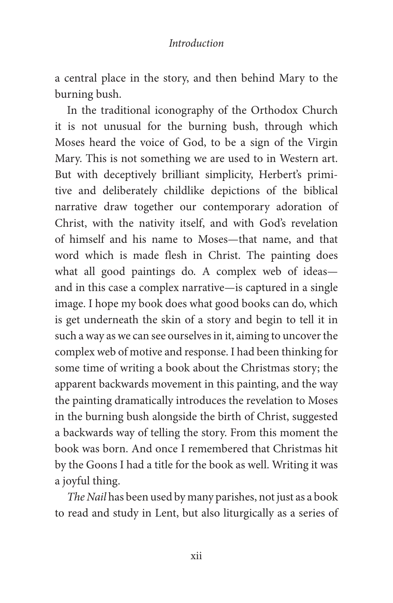a central place in the story, and then behind Mary to the burning bush.

In the traditional iconography of the Orthodox Church it is not unusual for the burning bush, through which Moses heard the voice of God, to be a sign of the Virgin Mary. This is not something we are used to in Western art. But with deceptively brilliant simplicity, Herbert's primitive and deliberately childlike depictions of the biblical narrative draw together our contemporary adoration of Christ, with the nativity itself, and with God's revelation of himself and his name to Moses—that name, and that word which is made flesh in Christ. The painting does what all good paintings do. A complex web of ideas and in this case a complex narrative—is captured in a single image. I hope my book does what good books can do, which is get underneath the skin of a story and begin to tell it in such a way as we can see ourselves in it, aiming to uncover the complex web of motive and response. I had been thinking for some time of writing a book about the Christmas story; the apparent backwards movement in this painting, and the way the painting dramatically introduces the revelation to Moses in the burning bush alongside the birth of Christ, suggested a backwards way of telling the story. From this moment the book was born. And once I remembered that Christmas hit by the Goons I had a title for the book as well. Writing it was a joyful thing.

*The Nail* has been used by many parishes, not just as a book to read and study in Lent, but also liturgically as a series of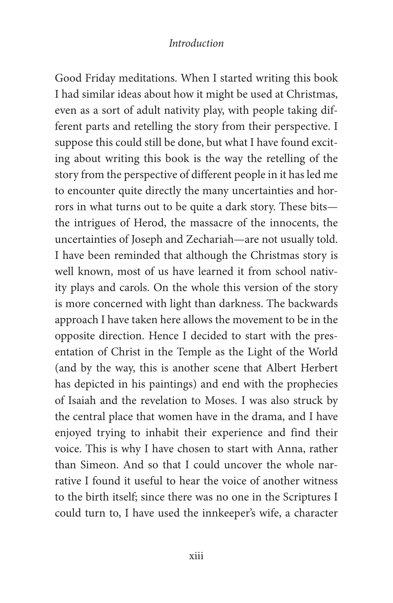Good Friday meditations. When I started writing this book I had similar ideas about how it might be used at Christmas, even as a sort of adult nativity play, with people taking different parts and retelling the story from their perspective. I suppose this could still be done, but what I have found exciting about writing this book is the way the retelling of the story from the perspective of different people in it has led me to encounter quite directly the many uncertainties and horrors in what turns out to be quite a dark story. These bits the intrigues of Herod, the massacre of the innocents, the uncertainties of Joseph and Zechariah—are not usually told. I have been reminded that although the Christmas story is well known, most of us have learned it from school nativity plays and carols. On the whole this version of the story is more concerned with light than darkness. The backwards approach I have taken here allows the movement to be in the opposite direction. Hence I decided to start with the presentation of Christ in the Temple as the Light of the World (and by the way, this is another scene that Albert Herbert has depicted in his paintings) and end with the prophecies of Isaiah and the revelation to Moses. I was also struck by the central place that women have in the drama, and I have enjoyed trying to inhabit their experience and find their voice. This is why I have chosen to start with Anna, rather than Simeon. And so that I could uncover the whole narrative I found it useful to hear the voice of another witness to the birth itself; since there was no one in the Scriptures I could turn to, I have used the innkeeper's wife, a character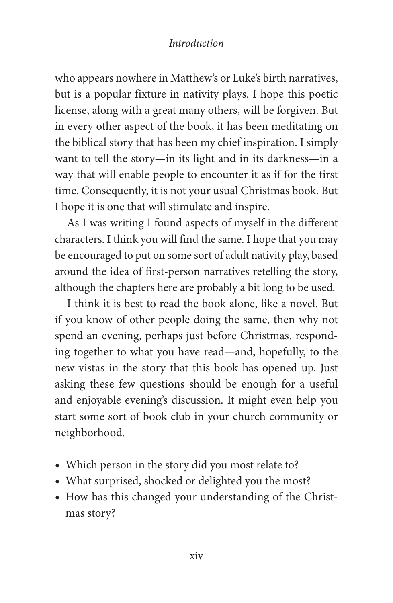who appears nowhere in Matthew's or Luke's birth narratives, but is a popular fixture in nativity plays. I hope this poetic license, along with a great many others, will be forgiven. But in every other aspect of the book, it has been meditating on the biblical story that has been my chief inspiration. I simply want to tell the story—in its light and in its darkness—in a way that will enable people to encounter it as if for the first time. Consequently, it is not your usual Christmas book. But I hope it is one that will stimulate and inspire.

As I was writing I found aspects of myself in the different characters. I think you will find the same. I hope that you may be encouraged to put on some sort of adult nativity play, based around the idea of first-person narratives retelling the story, although the chapters here are probably a bit long to be used.

I think it is best to read the book alone, like a novel. But if you know of other people doing the same, then why not spend an evening, perhaps just before Christmas, responding together to what you have read—and, hopefully, to the new vistas in the story that this book has opened up. Just asking these few questions should be enough for a useful and enjoyable evening's discussion. It might even help you start some sort of book club in your church community or neighborhood.

- Which person in the story did you most relate to?
- What surprised, shocked or delighted you the most?
- How has this changed your understanding of the Christmas story?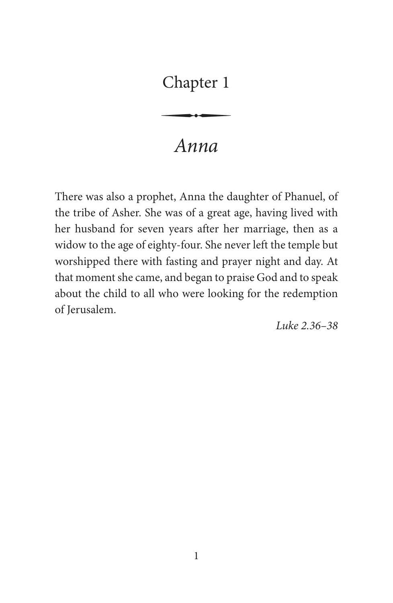# Chapter 1 *Anna*

There was also a prophet, Anna the daughter of Phanuel, of the tribe of Asher. She was of a great age, having lived with her husband for seven years after her marriage, then as a widow to the age of eighty-four. She never left the temple but worshipped there with fasting and prayer night and day. At that moment she came, and began to praise God and to speak about the child to all who were looking for the redemption of Jerusalem.

*Luke 2.36–38*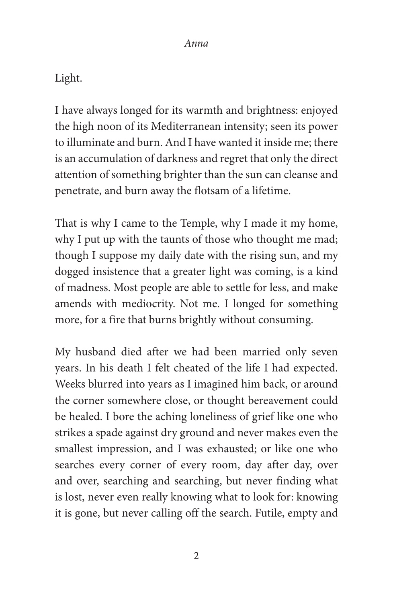Light.

I have always longed for its warmth and brightness: enjoyed the high noon of its Mediterranean intensity; seen its power to illuminate and burn. And I have wanted it inside me; there is an accumulation of darkness and regret that only the direct attention of something brighter than the sun can cleanse and penetrate, and burn away the flotsam of a lifetime.

That is why I came to the Temple, why I made it my home, why I put up with the taunts of those who thought me mad; though I suppose my daily date with the rising sun, and my dogged insistence that a greater light was coming, is a kind of madness. Most people are able to settle for less, and make amends with mediocrity. Not me. I longed for something more, for a fire that burns brightly without consuming.

My husband died after we had been married only seven years. In his death I felt cheated of the life I had expected. Weeks blurred into years as I imagined him back, or around the corner somewhere close, or thought bereavement could be healed. I bore the aching loneliness of grief like one who strikes a spade against dry ground and never makes even the smallest impression, and I was exhausted; or like one who searches every corner of every room, day after day, over and over, searching and searching, but never finding what is lost, never even really knowing what to look for: knowing it is gone, but never calling off the search. Futile, empty and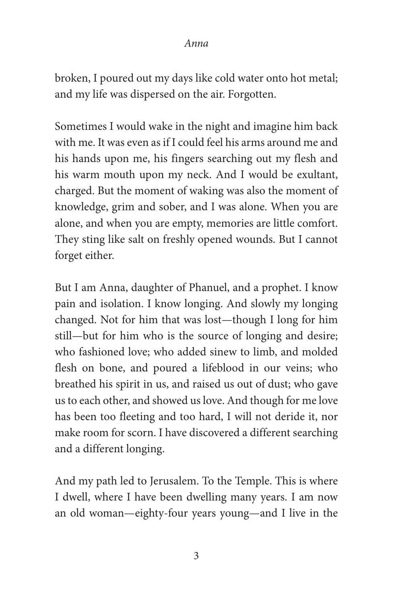broken, I poured out my days like cold water onto hot metal; and my life was dispersed on the air. Forgotten.

Sometimes I would wake in the night and imagine him back with me. It was even as if I could feel his arms around me and his hands upon me, his fingers searching out my flesh and his warm mouth upon my neck. And I would be exultant, charged. But the moment of waking was also the moment of knowledge, grim and sober, and I was alone. When you are alone, and when you are empty, memories are little comfort. They sting like salt on freshly opened wounds. But I cannot forget either.

But I am Anna, daughter of Phanuel, and a prophet. I know pain and isolation. I know longing. And slowly my longing changed. Not for him that was lost—though I long for him still—but for him who is the source of longing and desire; who fashioned love; who added sinew to limb, and molded flesh on bone, and poured a lifeblood in our veins; who breathed his spirit in us, and raised us out of dust; who gave us to each other, and showed us love. And though for me love has been too fleeting and too hard, I will not deride it, nor make room for scorn. I have discovered a different searching and a different longing.

And my path led to Jerusalem. To the Temple. This is where I dwell, where I have been dwelling many years. I am now an old woman—eighty-four years young—and I live in the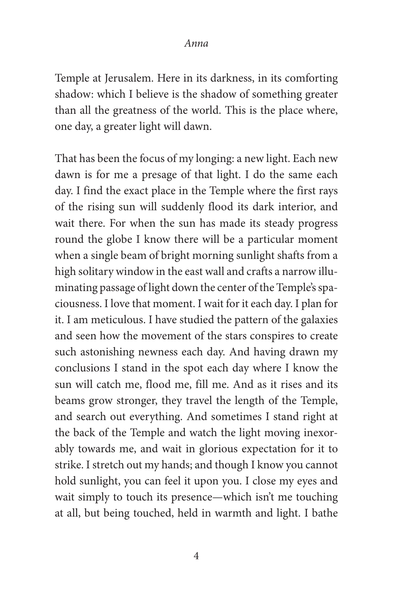Temple at Jerusalem. Here in its darkness, in its comforting shadow: which I believe is the shadow of something greater than all the greatness of the world. This is the place where, one day, a greater light will dawn.

That has been the focus of my longing: a new light. Each new dawn is for me a presage of that light. I do the same each day. I find the exact place in the Temple where the first rays of the rising sun will suddenly flood its dark interior, and wait there. For when the sun has made its steady progress round the globe I know there will be a particular moment when a single beam of bright morning sunlight shafts from a high solitary window in the east wall and crafts a narrow illuminating passage of light down the center of the Temple's spaciousness. I love that moment. I wait for it each day. I plan for it. I am meticulous. I have studied the pattern of the galaxies and seen how the movement of the stars conspires to create such astonishing newness each day. And having drawn my conclusions I stand in the spot each day where I know the sun will catch me, flood me, fill me. And as it rises and its beams grow stronger, they travel the length of the Temple, and search out everything. And sometimes I stand right at the back of the Temple and watch the light moving inexorably towards me, and wait in glorious expectation for it to strike. I stretch out my hands; and though I know you cannot hold sunlight, you can feel it upon you. I close my eyes and wait simply to touch its presence—which isn't me touching at all, but being touched, held in warmth and light. I bathe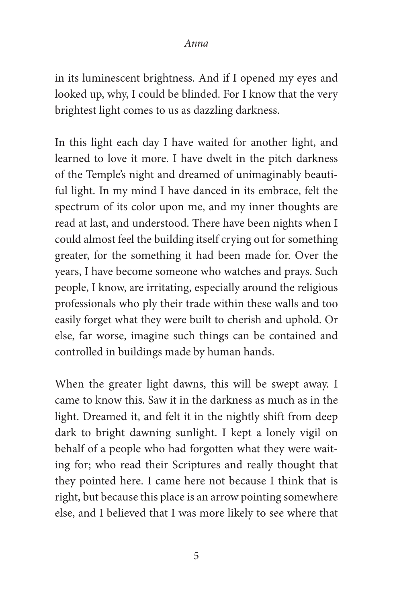in its luminescent brightness. And if I opened my eyes and looked up, why, I could be blinded. For I know that the very brightest light comes to us as dazzling darkness.

In this light each day I have waited for another light, and learned to love it more. I have dwelt in the pitch darkness of the Temple's night and dreamed of unimaginably beautiful light. In my mind I have danced in its embrace, felt the spectrum of its color upon me, and my inner thoughts are read at last, and understood. There have been nights when I could almost feel the building itself crying out for something greater, for the something it had been made for. Over the years, I have become someone who watches and prays. Such people, I know, are irritating, especially around the religious professionals who ply their trade within these walls and too easily forget what they were built to cherish and uphold. Or else, far worse, imagine such things can be contained and controlled in buildings made by human hands.

When the greater light dawns, this will be swept away. I came to know this. Saw it in the darkness as much as in the light. Dreamed it, and felt it in the nightly shift from deep dark to bright dawning sunlight. I kept a lonely vigil on behalf of a people who had forgotten what they were waiting for; who read their Scriptures and really thought that they pointed here. I came here not because I think that is right, but because this place is an arrow pointing somewhere else, and I believed that I was more likely to see where that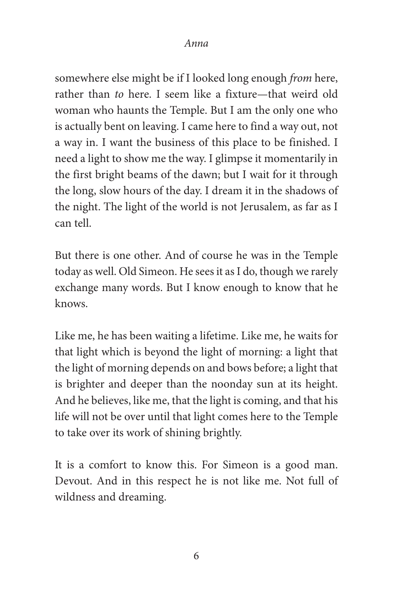somewhere else might be if I looked long enough *from* here, rather than *to* here. I seem like a fixture—that weird old woman who haunts the Temple. But I am the only one who is actually bent on leaving. I came here to find a way out, not a way in. I want the business of this place to be finished. I need a light to show me the way. I glimpse it momentarily in the first bright beams of the dawn; but I wait for it through the long, slow hours of the day. I dream it in the shadows of the night. The light of the world is not Jerusalem, as far as I can tell.

But there is one other. And of course he was in the Temple today as well. Old Simeon. He sees it as I do, though we rarely exchange many words. But I know enough to know that he knows.

Like me, he has been waiting a lifetime. Like me, he waits for that light which is beyond the light of morning: a light that the light of morning depends on and bows before; a light that is brighter and deeper than the noonday sun at its height. And he believes, like me, that the light is coming, and that his life will not be over until that light comes here to the Temple to take over its work of shining brightly.

It is a comfort to know this. For Simeon is a good man. Devout. And in this respect he is not like me. Not full of wildness and dreaming.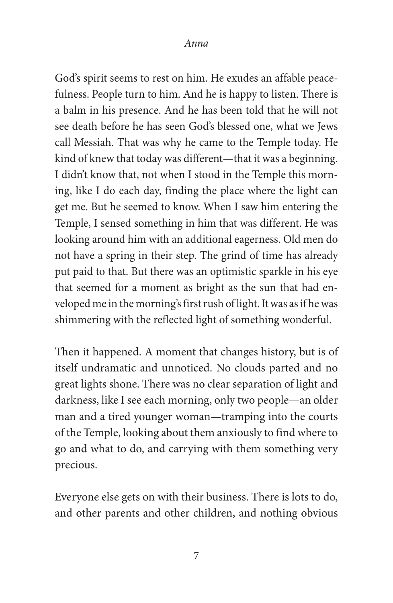God's spirit seems to rest on him. He exudes an affable peacefulness. People turn to him. And he is happy to listen. There is a balm in his presence. And he has been told that he will not see death before he has seen God's blessed one, what we Jews call Messiah. That was why he came to the Temple today. He kind of knew that today was different—that it was a beginning. I didn't know that, not when I stood in the Temple this morning, like I do each day, finding the place where the light can get me. But he seemed to know. When I saw him entering the Temple, I sensed something in him that was different. He was looking around him with an additional eagerness. Old men do not have a spring in their step. The grind of time has already put paid to that. But there was an optimistic sparkle in his eye that seemed for a moment as bright as the sun that had enveloped me in the morning's first rush of light. It was as if he was shimmering with the reflected light of something wonderful.

Then it happened. A moment that changes history, but is of itself undramatic and unnoticed. No clouds parted and no great lights shone. There was no clear separation of light and darkness, like I see each morning, only two people—an older man and a tired younger woman—tramping into the courts of the Temple, looking about them anxiously to find where to go and what to do, and carrying with them something very precious.

Everyone else gets on with their business. There is lots to do, and other parents and other children, and nothing obvious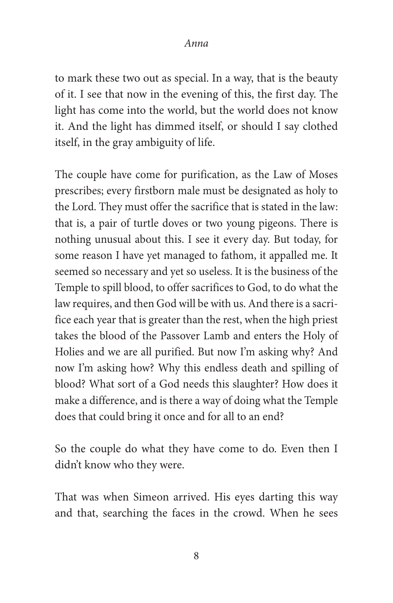to mark these two out as special. In a way, that is the beauty of it. I see that now in the evening of this, the first day. The light has come into the world, but the world does not know it. And the light has dimmed itself, or should I say clothed itself, in the gray ambiguity of life.

The couple have come for purification, as the Law of Moses prescribes; every firstborn male must be designated as holy to the Lord. They must offer the sacrifice that is stated in the law: that is, a pair of turtle doves or two young pigeons. There is nothing unusual about this. I see it every day. But today, for some reason I have yet managed to fathom, it appalled me. It seemed so necessary and yet so useless. It is the business of the Temple to spill blood, to offer sacrifices to God, to do what the law requires, and then God will be with us. And there is a sacrifice each year that is greater than the rest, when the high priest takes the blood of the Passover Lamb and enters the Holy of Holies and we are all purified. But now I'm asking why? And now I'm asking how? Why this endless death and spilling of blood? What sort of a God needs this slaughter? How does it make a difference, and is there a way of doing what the Temple does that could bring it once and for all to an end?

So the couple do what they have come to do. Even then I didn't know who they were.

That was when Simeon arrived. His eyes darting this way and that, searching the faces in the crowd. When he sees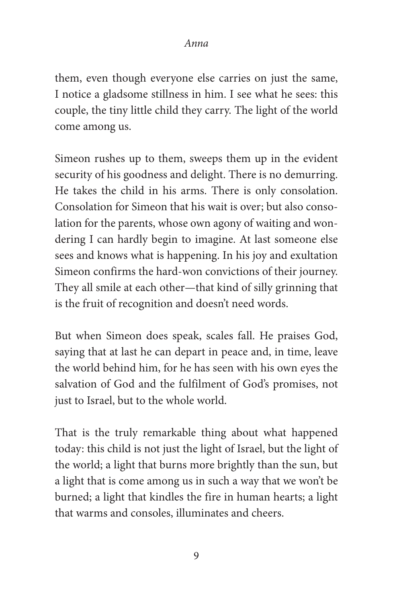them, even though everyone else carries on just the same, I notice a gladsome stillness in him. I see what he sees: this couple, the tiny little child they carry. The light of the world come among us.

Simeon rushes up to them, sweeps them up in the evident security of his goodness and delight. There is no demurring. He takes the child in his arms. There is only consolation. Consolation for Simeon that his wait is over; but also consolation for the parents, whose own agony of waiting and wondering I can hardly begin to imagine. At last someone else sees and knows what is happening. In his joy and exultation Simeon confirms the hard-won convictions of their journey. They all smile at each other—that kind of silly grinning that is the fruit of recognition and doesn't need words.

But when Simeon does speak, scales fall. He praises God, saying that at last he can depart in peace and, in time, leave the world behind him, for he has seen with his own eyes the salvation of God and the fulfilment of God's promises, not just to Israel, but to the whole world.

That is the truly remarkable thing about what happened today: this child is not just the light of Israel, but the light of the world; a light that burns more brightly than the sun, but a light that is come among us in such a way that we won't be burned; a light that kindles the fire in human hearts; a light that warms and consoles, illuminates and cheers.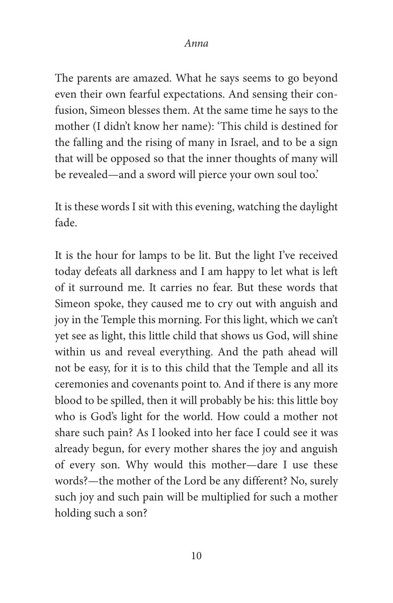The parents are amazed. What he says seems to go beyond even their own fearful expectations. And sensing their confusion, Simeon blesses them. At the same time he says to the mother (I didn't know her name): 'This child is destined for the falling and the rising of many in Israel, and to be a sign that will be opposed so that the inner thoughts of many will be revealed—and a sword will pierce your own soul too.'

It is these words I sit with this evening, watching the daylight fade.

It is the hour for lamps to be lit. But the light I've received today defeats all darkness and I am happy to let what is left of it surround me. It carries no fear. But these words that Simeon spoke, they caused me to cry out with anguish and joy in the Temple this morning. For this light, which we can't yet see as light, this little child that shows us God, will shine within us and reveal everything. And the path ahead will not be easy, for it is to this child that the Temple and all its ceremonies and covenants point to. And if there is any more blood to be spilled, then it will probably be his: this little boy who is God's light for the world. How could a mother not share such pain? As I looked into her face I could see it was already begun, for every mother shares the joy and anguish of every son. Why would this mother—dare I use these words?—the mother of the Lord be any different? No, surely such joy and such pain will be multiplied for such a mother holding such a son?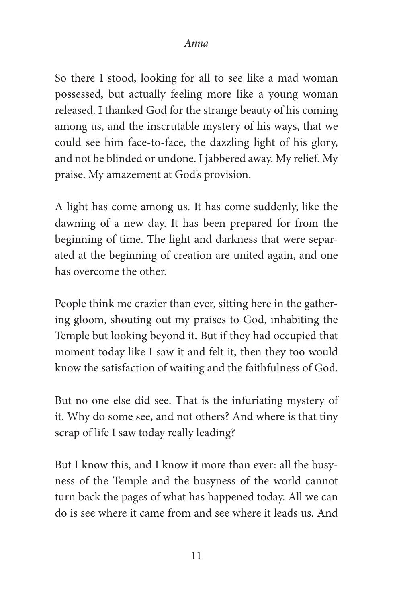So there I stood, looking for all to see like a mad woman possessed, but actually feeling more like a young woman released. I thanked God for the strange beauty of his coming among us, and the inscrutable mystery of his ways, that we could see him face-to-face, the dazzling light of his glory, and not be blinded or undone. I jabbered away. My relief. My praise. My amazement at God's provision.

A light has come among us. It has come suddenly, like the dawning of a new day. It has been prepared for from the beginning of time. The light and darkness that were separated at the beginning of creation are united again, and one has overcome the other.

People think me crazier than ever, sitting here in the gathering gloom, shouting out my praises to God, inhabiting the Temple but looking beyond it. But if they had occupied that moment today like I saw it and felt it, then they too would know the satisfaction of waiting and the faithfulness of God.

But no one else did see. That is the infuriating mystery of it. Why do some see, and not others? And where is that tiny scrap of life I saw today really leading?

But I know this, and I know it more than ever: all the busyness of the Temple and the busyness of the world cannot turn back the pages of what has happened today. All we can do is see where it came from and see where it leads us. And